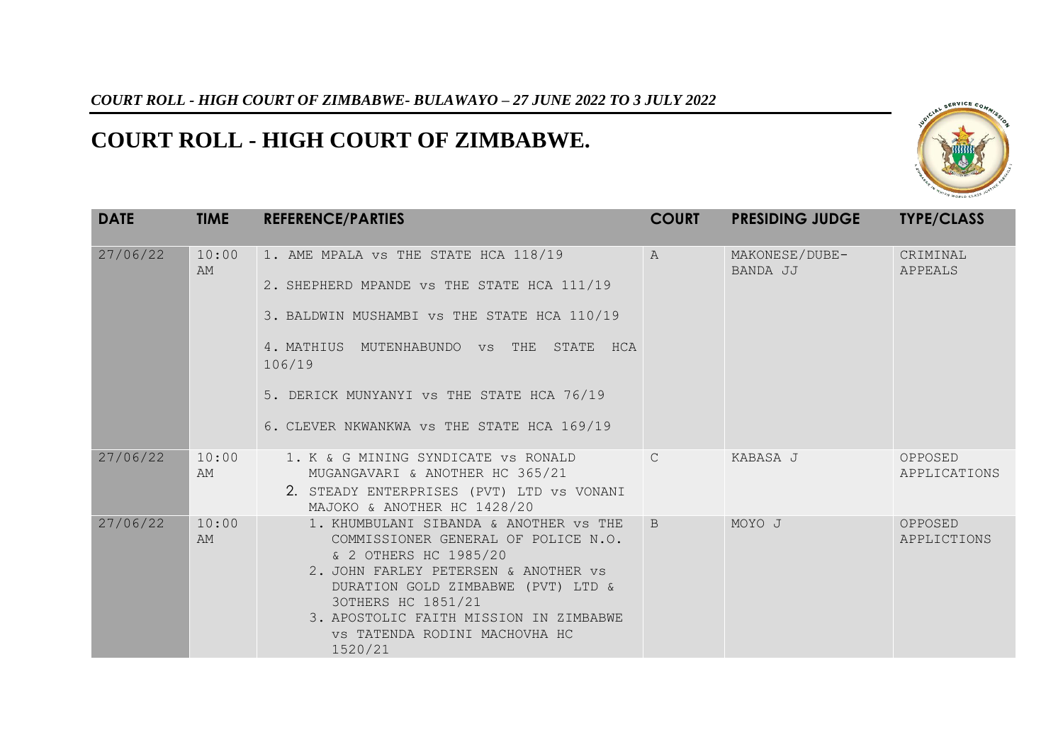## *COURT ROLL - HIGH COURT OF ZIMBABWE- BULAWAYO – 27 JUNE 2022 TO 3 JULY 2022*

## **COURT ROLL - HIGH COURT OF ZIMBABWE.**



| <b>DATE</b> | <b>TIME</b> | <b>REFERENCE/PARTIES</b>                                                                                                                                                                                                                                                                         | <b>COURT</b>  | <b>PRESIDING JUDGE</b>     | <b>TYPE/CLASS</b>       |
|-------------|-------------|--------------------------------------------------------------------------------------------------------------------------------------------------------------------------------------------------------------------------------------------------------------------------------------------------|---------------|----------------------------|-------------------------|
| 27/06/22    | 10:00<br>AM | 1. AME MPALA VS THE STATE HCA 118/19<br>2. SHEPHERD MPANDE VS THE STATE HCA 111/19<br>3. BALDWIN MUSHAMBI VS THE STATE HCA 110/19<br>4. MATHIUS MUTENHABUNDO VS THE<br>STATE HCA<br>106/19<br>5. DERICK MUNYANYI VS THE STATE HCA 76/19<br>6. CLEVER NKWANKWA VS THE STATE HCA 169/19            | $\mathbb{A}$  | MAKONESE/DUBE-<br>BANDA JJ | CRIMINAL<br>APPEALS     |
| 27/06/22    | 10:00<br>AM | 1. K & G MINING SYNDICATE VS RONALD<br>MUGANGAVARI & ANOTHER HC 365/21<br>2. STEADY ENTERPRISES (PVT) LTD VS VONANI<br>MAJOKO & ANOTHER HC 1428/20                                                                                                                                               | $\mathcal{C}$ | KABASA J                   | OPPOSED<br>APPLICATIONS |
| 27/06/22    | 10:00<br>AM | 1. KHUMBULANI SIBANDA & ANOTHER VS THE<br>COMMISSIONER GENERAL OF POLICE N.O.<br>& 2 OTHERS HC 1985/20<br>2. JOHN FARLEY PETERSEN & ANOTHER VS<br>DURATION GOLD ZIMBABWE (PVT) LTD &<br>30THERS HC 1851/21<br>3. APOSTOLIC FAITH MISSION IN ZIMBABWE<br>VS TATENDA RODINI MACHOVHA HC<br>1520/21 | B             | MOYO J                     | OPPOSED<br>APPLICTIONS  |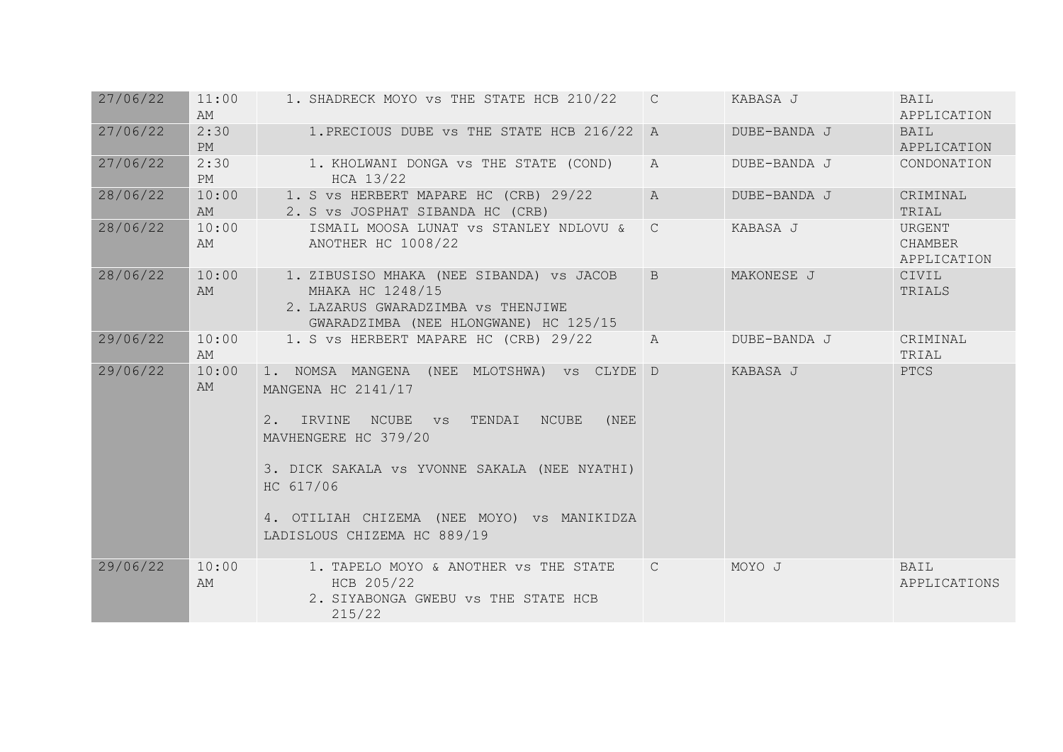| 27/06/22 | 11:00<br>AM | 1. SHADRECK MOYO VS THE STATE HCB 210/22                                                                                                                                                                                                                                               | $\mathcal{C}$  | KABASA J     | <b>BAIL</b><br>APPLICATION       |
|----------|-------------|----------------------------------------------------------------------------------------------------------------------------------------------------------------------------------------------------------------------------------------------------------------------------------------|----------------|--------------|----------------------------------|
| 27/06/22 | 2:30<br>PM  | 1. PRECIOUS DUBE VS THE STATE HCB 216/22                                                                                                                                                                                                                                               | $\overline{A}$ | DUBE-BANDA J | <b>BAIL</b><br>APPLICATION       |
| 27/06/22 | 2:30<br>PM  | 1. KHOLWANI DONGA VS THE STATE (COND)<br>HCA 13/22                                                                                                                                                                                                                                     | $\mathbb{A}$   | DUBE-BANDA J | CONDONATION                      |
| 28/06/22 | 10:00<br>AM | 1. S VS HERBERT MAPARE HC (CRB) 29/22<br>2. S VS JOSPHAT SIBANDA HC (CRB)                                                                                                                                                                                                              | $\mathcal{A}$  | DUBE-BANDA J | CRIMINAL<br>TRIAL                |
| 28/06/22 | 10:00<br>AM | ISMAIL MOOSA LUNAT VS STANLEY NDLOVU &<br>ANOTHER HC 1008/22                                                                                                                                                                                                                           | $\mathcal{C}$  | KABASA J     | URGENT<br>CHAMBER<br>APPLICATION |
| 28/06/22 | 10:00<br>AM | 1. ZIBUSISO MHAKA (NEE SIBANDA) VS JACOB<br>MHAKA HC 1248/15<br>2. LAZARUS GWARADZIMBA VS THENJIWE<br>GWARADZIMBA (NEE HLONGWANE) HC 125/15                                                                                                                                            | B              | MAKONESE J   | CIVIL<br>TRIALS                  |
| 29/06/22 | 10:00<br>AM | 1. S VS HERBERT MAPARE HC (CRB) 29/22                                                                                                                                                                                                                                                  | $\mathbb{A}$   | DUBE-BANDA J | CRIMINAL<br>TRIAL                |
| 29/06/22 | 10:00<br>AM | 1. NOMSA MANGENA (NEE MLOTSHWA) VS CLYDE D<br>MANGENA HC 2141/17<br>2. IRVINE<br>NCUBE vs<br>TENDAI<br>NCUBE<br>(NEE<br>MAVHENGERE HC 379/20<br>3. DICK SAKALA VS YVONNE SAKALA (NEE NYATHI)<br>HC 617/06<br>4. OTILIAH CHIZEMA (NEE MOYO) VS MANIKIDZA<br>LADISLOUS CHIZEMA HC 889/19 |                | KABASA J     | PTCS                             |
| 29/06/22 | 10:00<br>AM | 1. TAPELO MOYO & ANOTHER VS THE STATE<br>HCB 205/22<br>2. SIYABONGA GWEBU VS THE STATE HCB<br>215/22                                                                                                                                                                                   | $\mathcal{C}$  | MOYO J       | BAIL<br>APPLICATIONS             |